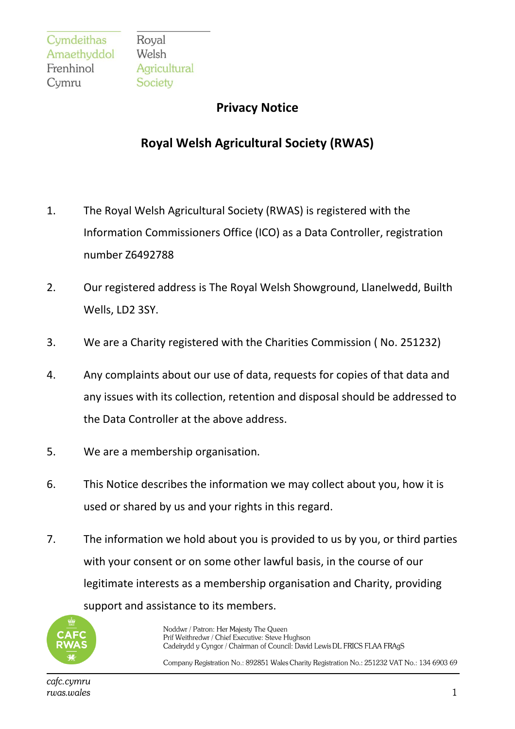Royal Welsh Agricultural Society

## **Privacy Notice**

## **Royal Welsh Agricultural Society (RWAS)**

- 1. The Royal Welsh Agricultural Society (RWAS) is registered with the Information Commissioners Office (ICO) as a Data Controller, registration number Z6492788
- 2. Our registered address is The Royal Welsh Showground, Llanelwedd, Builth Wells, LD2 3SY.
- 3. We are a Charity registered with the Charities Commission ( No. 251232)
- 4. Any complaints about our use of data, requests for copies of that data and any issues with its collection, retention and disposal should be addressed to the Data Controller at the above address.
- 5. We are a membership organisation.
- 6. This Notice describes the information we may collect about you, how it is used or shared by us and your rights in this regard.
- 7. The information we hold about you is provided to us by you, or third parties with your consent or on some other lawful basis, in the course of our legitimate interests as a membership organisation and Charity, providing support and assistance to its members.



Noddwr / Patron: Her Majesty The Queen Prif Weithredwr / Chief Executive: Steve Hughson Cadeirydd y Cyngor / Chairman of Council: David Lewis DL FRICS FLAA FRAgS

Company Registration No.: 892851 Wales Charity Registration No.: 251232 VAT No.: 134 6903 69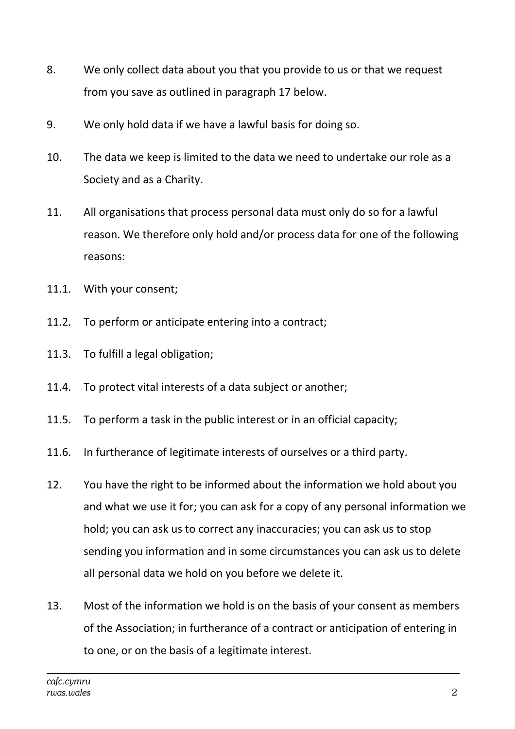- 8. We only collect data about you that you provide to us or that we request from you save as outlined in paragraph 17 below.
- 9. We only hold data if we have a lawful basis for doing so.
- 10. The data we keep is limited to the data we need to undertake our role as a Society and as a Charity.
- 11. All organisations that process personal data must only do so for a lawful reason. We therefore only hold and/or process data for one of the following reasons:
- 11.1. With your consent;
- 11.2. To perform or anticipate entering into a contract;
- 11.3. To fulfill a legal obligation;
- 11.4. To protect vital interests of a data subject or another;
- 11.5. To perform a task in the public interest or in an official capacity;
- 11.6. In furtherance of legitimate interests of ourselves or a third party.
- 12. You have the right to be informed about the information we hold about you and what we use it for; you can ask for a copy of any personal information we hold; you can ask us to correct any inaccuracies; you can ask us to stop sending you information and in some circumstances you can ask us to delete all personal data we hold on you before we delete it.
- 13. Most of the information we hold is on the basis of your consent as members of the Association; in furtherance of a contract or anticipation of entering in to one, or on the basis of a legitimate interest.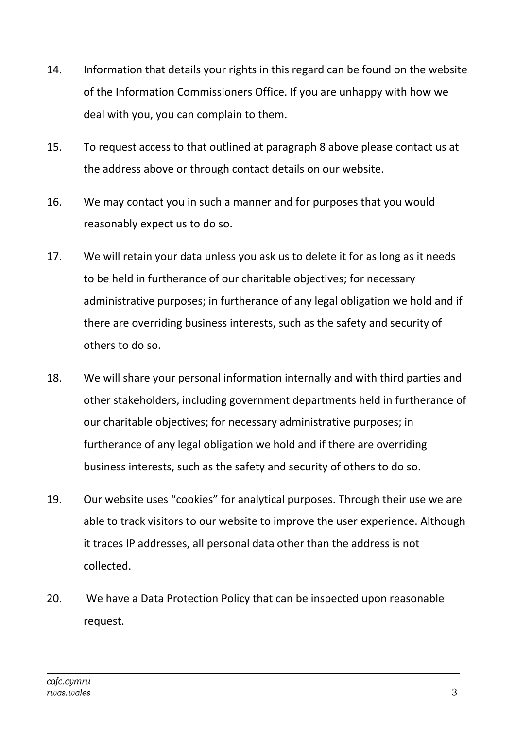- 14. Information that details your rights in this regard can be found on the website of the Information Commissioners Office. If you are unhappy with how we deal with you, you can complain to them.
- 15. To request access to that outlined at paragraph 8 above please contact us at the address above or through contact details on our website.
- 16. We may contact you in such a manner and for purposes that you would reasonably expect us to do so.
- 17. We will retain your data unless you ask us to delete it for as long as it needs to be held in furtherance of our charitable objectives; for necessary administrative purposes; in furtherance of any legal obligation we hold and if there are overriding business interests, such as the safety and security of others to do so.
- 18. We will share your personal information internally and with third parties and other stakeholders, including government departments held in furtherance of our charitable objectives; for necessary administrative purposes; in furtherance of any legal obligation we hold and if there are overriding business interests, such as the safety and security of others to do so.
- 19. Our website uses "cookies" for analytical purposes. Through their use we are able to track visitors to our website to improve the user experience. Although it traces IP addresses, all personal data other than the address is not collected.
- 20. We have a Data Protection Policy that can be inspected upon reasonable request.